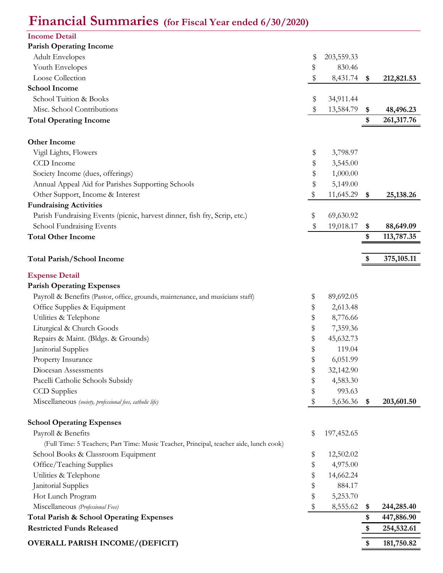## **Financial Summaries (for Fiscal Year ended 6/30/2020)**

| <b>Income Detail</b><br><b>Parish Operating Income</b><br><b>Adult Envelopes</b><br>\$<br>203,559.33<br>Youth Envelopes<br>830.46<br>\$<br>Loose Collection<br>\$<br>8,431.74<br>212,821.53<br>\$<br><b>School Income</b><br>School Tuition & Books<br>\$<br>34,911.44<br>Misc. School Contributions<br>13,584.79<br>\$<br>48,496.23<br>\$<br><b>Total Operating Income</b><br>261,317.76<br>\$<br><b>Other Income</b><br>Vigil Lights, Flowers<br>\$<br>3,798.97<br>CCD Income<br>\$<br>3,545.00<br>Society Income (dues, offerings)<br>\$<br>1,000.00<br>$\,$<br>Annual Appeal Aid for Parishes Supporting Schools<br>5,149.00<br>\$<br>Other Support, Income & Interest<br>11,645.29<br>25, 138. 26<br>\$<br><b>Fundraising Activities</b><br>Parish Fundraising Events (picnic, harvest dinner, fish fry, Scrip, etc.)<br>69,630.92<br>\$<br>School Fundraising Events<br>\$<br>19,018.17<br>88,649.09<br><b>Total Other Income</b><br>113,787.35<br>\$<br>375,105.11<br><b>Total Parish/School Income</b><br>\$<br><b>Expense Detail</b><br><b>Parish Operating Expenses</b><br>Payroll & Benefits (Pastor, office, grounds, maintenance, and musicians staff)<br>\$<br>89,692.05<br>Office Supplies & Equipment<br>2,613.48<br>\$<br>Utilities & Telephone<br>\$<br>8,776.66<br>Liturgical & Church Goods<br>7,359.36<br>\$<br>\$<br>Repairs & Maint. (Bldgs. & Grounds)<br>45,632.73<br>\$<br>Janitorial Supplies<br>119.04<br>\$<br>6,051.99<br>Property Insurance<br>Diocesan Assessments<br>\$<br>32,142.90<br>Pacelli Catholic Schools Subsidy<br>\$<br>4,583.30<br>\$<br>993.63<br><b>CCD</b> Supplies<br>Miscellaneous (society, professional fees, catholic life)<br>$\,$<br>5,636.36<br>203,601.50<br>\$<br><b>School Operating Expenses</b><br>Payroll & Benefits<br>\$<br>197,452.65<br>(Full Time: 5 Teachers; Part Time: Music Teacher, Principal, teacher aide, lunch cook)<br>School Books & Classroom Equipment<br>\$<br>12,502.02<br>Office/Teaching Supplies<br>\$<br>4,975.00<br>Utilities & Telephone<br>\$<br>14,662.24<br>Janitorial Supplies<br>\$<br>884.17<br>\$<br>Hot Lunch Program<br>5,253.70<br>Miscellaneous (Professional Fees)<br>\$<br>8,555.62<br>244,285.40<br><b>Total Parish &amp; School Operating Expenses</b><br>447,886.90<br>\$<br><b>Restricted Funds Released</b><br>254,532.61<br>\$<br><b>OVERALL PARISH INCOME/(DEFICIT)</b><br>181,750.82<br>\$ |  |  |  |
|--------------------------------------------------------------------------------------------------------------------------------------------------------------------------------------------------------------------------------------------------------------------------------------------------------------------------------------------------------------------------------------------------------------------------------------------------------------------------------------------------------------------------------------------------------------------------------------------------------------------------------------------------------------------------------------------------------------------------------------------------------------------------------------------------------------------------------------------------------------------------------------------------------------------------------------------------------------------------------------------------------------------------------------------------------------------------------------------------------------------------------------------------------------------------------------------------------------------------------------------------------------------------------------------------------------------------------------------------------------------------------------------------------------------------------------------------------------------------------------------------------------------------------------------------------------------------------------------------------------------------------------------------------------------------------------------------------------------------------------------------------------------------------------------------------------------------------------------------------------------------------------------------------------------------------------------------------------------------------------------------------------------------------------------------------------------------------------------------------------------------------------------------------------------------------------------------------------------------------------------------------------------------------------------------------------------------------------------------------------------------------------------------------|--|--|--|
|                                                                                                                                                                                                                                                                                                                                                                                                                                                                                                                                                                                                                                                                                                                                                                                                                                                                                                                                                                                                                                                                                                                                                                                                                                                                                                                                                                                                                                                                                                                                                                                                                                                                                                                                                                                                                                                                                                                                                                                                                                                                                                                                                                                                                                                                                                                                                                                                        |  |  |  |
|                                                                                                                                                                                                                                                                                                                                                                                                                                                                                                                                                                                                                                                                                                                                                                                                                                                                                                                                                                                                                                                                                                                                                                                                                                                                                                                                                                                                                                                                                                                                                                                                                                                                                                                                                                                                                                                                                                                                                                                                                                                                                                                                                                                                                                                                                                                                                                                                        |  |  |  |
|                                                                                                                                                                                                                                                                                                                                                                                                                                                                                                                                                                                                                                                                                                                                                                                                                                                                                                                                                                                                                                                                                                                                                                                                                                                                                                                                                                                                                                                                                                                                                                                                                                                                                                                                                                                                                                                                                                                                                                                                                                                                                                                                                                                                                                                                                                                                                                                                        |  |  |  |
|                                                                                                                                                                                                                                                                                                                                                                                                                                                                                                                                                                                                                                                                                                                                                                                                                                                                                                                                                                                                                                                                                                                                                                                                                                                                                                                                                                                                                                                                                                                                                                                                                                                                                                                                                                                                                                                                                                                                                                                                                                                                                                                                                                                                                                                                                                                                                                                                        |  |  |  |
|                                                                                                                                                                                                                                                                                                                                                                                                                                                                                                                                                                                                                                                                                                                                                                                                                                                                                                                                                                                                                                                                                                                                                                                                                                                                                                                                                                                                                                                                                                                                                                                                                                                                                                                                                                                                                                                                                                                                                                                                                                                                                                                                                                                                                                                                                                                                                                                                        |  |  |  |
|                                                                                                                                                                                                                                                                                                                                                                                                                                                                                                                                                                                                                                                                                                                                                                                                                                                                                                                                                                                                                                                                                                                                                                                                                                                                                                                                                                                                                                                                                                                                                                                                                                                                                                                                                                                                                                                                                                                                                                                                                                                                                                                                                                                                                                                                                                                                                                                                        |  |  |  |
|                                                                                                                                                                                                                                                                                                                                                                                                                                                                                                                                                                                                                                                                                                                                                                                                                                                                                                                                                                                                                                                                                                                                                                                                                                                                                                                                                                                                                                                                                                                                                                                                                                                                                                                                                                                                                                                                                                                                                                                                                                                                                                                                                                                                                                                                                                                                                                                                        |  |  |  |
|                                                                                                                                                                                                                                                                                                                                                                                                                                                                                                                                                                                                                                                                                                                                                                                                                                                                                                                                                                                                                                                                                                                                                                                                                                                                                                                                                                                                                                                                                                                                                                                                                                                                                                                                                                                                                                                                                                                                                                                                                                                                                                                                                                                                                                                                                                                                                                                                        |  |  |  |
|                                                                                                                                                                                                                                                                                                                                                                                                                                                                                                                                                                                                                                                                                                                                                                                                                                                                                                                                                                                                                                                                                                                                                                                                                                                                                                                                                                                                                                                                                                                                                                                                                                                                                                                                                                                                                                                                                                                                                                                                                                                                                                                                                                                                                                                                                                                                                                                                        |  |  |  |
|                                                                                                                                                                                                                                                                                                                                                                                                                                                                                                                                                                                                                                                                                                                                                                                                                                                                                                                                                                                                                                                                                                                                                                                                                                                                                                                                                                                                                                                                                                                                                                                                                                                                                                                                                                                                                                                                                                                                                                                                                                                                                                                                                                                                                                                                                                                                                                                                        |  |  |  |
|                                                                                                                                                                                                                                                                                                                                                                                                                                                                                                                                                                                                                                                                                                                                                                                                                                                                                                                                                                                                                                                                                                                                                                                                                                                                                                                                                                                                                                                                                                                                                                                                                                                                                                                                                                                                                                                                                                                                                                                                                                                                                                                                                                                                                                                                                                                                                                                                        |  |  |  |
|                                                                                                                                                                                                                                                                                                                                                                                                                                                                                                                                                                                                                                                                                                                                                                                                                                                                                                                                                                                                                                                                                                                                                                                                                                                                                                                                                                                                                                                                                                                                                                                                                                                                                                                                                                                                                                                                                                                                                                                                                                                                                                                                                                                                                                                                                                                                                                                                        |  |  |  |
|                                                                                                                                                                                                                                                                                                                                                                                                                                                                                                                                                                                                                                                                                                                                                                                                                                                                                                                                                                                                                                                                                                                                                                                                                                                                                                                                                                                                                                                                                                                                                                                                                                                                                                                                                                                                                                                                                                                                                                                                                                                                                                                                                                                                                                                                                                                                                                                                        |  |  |  |
|                                                                                                                                                                                                                                                                                                                                                                                                                                                                                                                                                                                                                                                                                                                                                                                                                                                                                                                                                                                                                                                                                                                                                                                                                                                                                                                                                                                                                                                                                                                                                                                                                                                                                                                                                                                                                                                                                                                                                                                                                                                                                                                                                                                                                                                                                                                                                                                                        |  |  |  |
|                                                                                                                                                                                                                                                                                                                                                                                                                                                                                                                                                                                                                                                                                                                                                                                                                                                                                                                                                                                                                                                                                                                                                                                                                                                                                                                                                                                                                                                                                                                                                                                                                                                                                                                                                                                                                                                                                                                                                                                                                                                                                                                                                                                                                                                                                                                                                                                                        |  |  |  |
|                                                                                                                                                                                                                                                                                                                                                                                                                                                                                                                                                                                                                                                                                                                                                                                                                                                                                                                                                                                                                                                                                                                                                                                                                                                                                                                                                                                                                                                                                                                                                                                                                                                                                                                                                                                                                                                                                                                                                                                                                                                                                                                                                                                                                                                                                                                                                                                                        |  |  |  |
|                                                                                                                                                                                                                                                                                                                                                                                                                                                                                                                                                                                                                                                                                                                                                                                                                                                                                                                                                                                                                                                                                                                                                                                                                                                                                                                                                                                                                                                                                                                                                                                                                                                                                                                                                                                                                                                                                                                                                                                                                                                                                                                                                                                                                                                                                                                                                                                                        |  |  |  |
|                                                                                                                                                                                                                                                                                                                                                                                                                                                                                                                                                                                                                                                                                                                                                                                                                                                                                                                                                                                                                                                                                                                                                                                                                                                                                                                                                                                                                                                                                                                                                                                                                                                                                                                                                                                                                                                                                                                                                                                                                                                                                                                                                                                                                                                                                                                                                                                                        |  |  |  |
|                                                                                                                                                                                                                                                                                                                                                                                                                                                                                                                                                                                                                                                                                                                                                                                                                                                                                                                                                                                                                                                                                                                                                                                                                                                                                                                                                                                                                                                                                                                                                                                                                                                                                                                                                                                                                                                                                                                                                                                                                                                                                                                                                                                                                                                                                                                                                                                                        |  |  |  |
|                                                                                                                                                                                                                                                                                                                                                                                                                                                                                                                                                                                                                                                                                                                                                                                                                                                                                                                                                                                                                                                                                                                                                                                                                                                                                                                                                                                                                                                                                                                                                                                                                                                                                                                                                                                                                                                                                                                                                                                                                                                                                                                                                                                                                                                                                                                                                                                                        |  |  |  |
|                                                                                                                                                                                                                                                                                                                                                                                                                                                                                                                                                                                                                                                                                                                                                                                                                                                                                                                                                                                                                                                                                                                                                                                                                                                                                                                                                                                                                                                                                                                                                                                                                                                                                                                                                                                                                                                                                                                                                                                                                                                                                                                                                                                                                                                                                                                                                                                                        |  |  |  |
|                                                                                                                                                                                                                                                                                                                                                                                                                                                                                                                                                                                                                                                                                                                                                                                                                                                                                                                                                                                                                                                                                                                                                                                                                                                                                                                                                                                                                                                                                                                                                                                                                                                                                                                                                                                                                                                                                                                                                                                                                                                                                                                                                                                                                                                                                                                                                                                                        |  |  |  |
|                                                                                                                                                                                                                                                                                                                                                                                                                                                                                                                                                                                                                                                                                                                                                                                                                                                                                                                                                                                                                                                                                                                                                                                                                                                                                                                                                                                                                                                                                                                                                                                                                                                                                                                                                                                                                                                                                                                                                                                                                                                                                                                                                                                                                                                                                                                                                                                                        |  |  |  |
|                                                                                                                                                                                                                                                                                                                                                                                                                                                                                                                                                                                                                                                                                                                                                                                                                                                                                                                                                                                                                                                                                                                                                                                                                                                                                                                                                                                                                                                                                                                                                                                                                                                                                                                                                                                                                                                                                                                                                                                                                                                                                                                                                                                                                                                                                                                                                                                                        |  |  |  |
|                                                                                                                                                                                                                                                                                                                                                                                                                                                                                                                                                                                                                                                                                                                                                                                                                                                                                                                                                                                                                                                                                                                                                                                                                                                                                                                                                                                                                                                                                                                                                                                                                                                                                                                                                                                                                                                                                                                                                                                                                                                                                                                                                                                                                                                                                                                                                                                                        |  |  |  |
|                                                                                                                                                                                                                                                                                                                                                                                                                                                                                                                                                                                                                                                                                                                                                                                                                                                                                                                                                                                                                                                                                                                                                                                                                                                                                                                                                                                                                                                                                                                                                                                                                                                                                                                                                                                                                                                                                                                                                                                                                                                                                                                                                                                                                                                                                                                                                                                                        |  |  |  |
|                                                                                                                                                                                                                                                                                                                                                                                                                                                                                                                                                                                                                                                                                                                                                                                                                                                                                                                                                                                                                                                                                                                                                                                                                                                                                                                                                                                                                                                                                                                                                                                                                                                                                                                                                                                                                                                                                                                                                                                                                                                                                                                                                                                                                                                                                                                                                                                                        |  |  |  |
|                                                                                                                                                                                                                                                                                                                                                                                                                                                                                                                                                                                                                                                                                                                                                                                                                                                                                                                                                                                                                                                                                                                                                                                                                                                                                                                                                                                                                                                                                                                                                                                                                                                                                                                                                                                                                                                                                                                                                                                                                                                                                                                                                                                                                                                                                                                                                                                                        |  |  |  |
|                                                                                                                                                                                                                                                                                                                                                                                                                                                                                                                                                                                                                                                                                                                                                                                                                                                                                                                                                                                                                                                                                                                                                                                                                                                                                                                                                                                                                                                                                                                                                                                                                                                                                                                                                                                                                                                                                                                                                                                                                                                                                                                                                                                                                                                                                                                                                                                                        |  |  |  |
|                                                                                                                                                                                                                                                                                                                                                                                                                                                                                                                                                                                                                                                                                                                                                                                                                                                                                                                                                                                                                                                                                                                                                                                                                                                                                                                                                                                                                                                                                                                                                                                                                                                                                                                                                                                                                                                                                                                                                                                                                                                                                                                                                                                                                                                                                                                                                                                                        |  |  |  |
|                                                                                                                                                                                                                                                                                                                                                                                                                                                                                                                                                                                                                                                                                                                                                                                                                                                                                                                                                                                                                                                                                                                                                                                                                                                                                                                                                                                                                                                                                                                                                                                                                                                                                                                                                                                                                                                                                                                                                                                                                                                                                                                                                                                                                                                                                                                                                                                                        |  |  |  |
|                                                                                                                                                                                                                                                                                                                                                                                                                                                                                                                                                                                                                                                                                                                                                                                                                                                                                                                                                                                                                                                                                                                                                                                                                                                                                                                                                                                                                                                                                                                                                                                                                                                                                                                                                                                                                                                                                                                                                                                                                                                                                                                                                                                                                                                                                                                                                                                                        |  |  |  |
|                                                                                                                                                                                                                                                                                                                                                                                                                                                                                                                                                                                                                                                                                                                                                                                                                                                                                                                                                                                                                                                                                                                                                                                                                                                                                                                                                                                                                                                                                                                                                                                                                                                                                                                                                                                                                                                                                                                                                                                                                                                                                                                                                                                                                                                                                                                                                                                                        |  |  |  |
|                                                                                                                                                                                                                                                                                                                                                                                                                                                                                                                                                                                                                                                                                                                                                                                                                                                                                                                                                                                                                                                                                                                                                                                                                                                                                                                                                                                                                                                                                                                                                                                                                                                                                                                                                                                                                                                                                                                                                                                                                                                                                                                                                                                                                                                                                                                                                                                                        |  |  |  |
|                                                                                                                                                                                                                                                                                                                                                                                                                                                                                                                                                                                                                                                                                                                                                                                                                                                                                                                                                                                                                                                                                                                                                                                                                                                                                                                                                                                                                                                                                                                                                                                                                                                                                                                                                                                                                                                                                                                                                                                                                                                                                                                                                                                                                                                                                                                                                                                                        |  |  |  |
|                                                                                                                                                                                                                                                                                                                                                                                                                                                                                                                                                                                                                                                                                                                                                                                                                                                                                                                                                                                                                                                                                                                                                                                                                                                                                                                                                                                                                                                                                                                                                                                                                                                                                                                                                                                                                                                                                                                                                                                                                                                                                                                                                                                                                                                                                                                                                                                                        |  |  |  |
|                                                                                                                                                                                                                                                                                                                                                                                                                                                                                                                                                                                                                                                                                                                                                                                                                                                                                                                                                                                                                                                                                                                                                                                                                                                                                                                                                                                                                                                                                                                                                                                                                                                                                                                                                                                                                                                                                                                                                                                                                                                                                                                                                                                                                                                                                                                                                                                                        |  |  |  |
|                                                                                                                                                                                                                                                                                                                                                                                                                                                                                                                                                                                                                                                                                                                                                                                                                                                                                                                                                                                                                                                                                                                                                                                                                                                                                                                                                                                                                                                                                                                                                                                                                                                                                                                                                                                                                                                                                                                                                                                                                                                                                                                                                                                                                                                                                                                                                                                                        |  |  |  |
|                                                                                                                                                                                                                                                                                                                                                                                                                                                                                                                                                                                                                                                                                                                                                                                                                                                                                                                                                                                                                                                                                                                                                                                                                                                                                                                                                                                                                                                                                                                                                                                                                                                                                                                                                                                                                                                                                                                                                                                                                                                                                                                                                                                                                                                                                                                                                                                                        |  |  |  |
|                                                                                                                                                                                                                                                                                                                                                                                                                                                                                                                                                                                                                                                                                                                                                                                                                                                                                                                                                                                                                                                                                                                                                                                                                                                                                                                                                                                                                                                                                                                                                                                                                                                                                                                                                                                                                                                                                                                                                                                                                                                                                                                                                                                                                                                                                                                                                                                                        |  |  |  |
|                                                                                                                                                                                                                                                                                                                                                                                                                                                                                                                                                                                                                                                                                                                                                                                                                                                                                                                                                                                                                                                                                                                                                                                                                                                                                                                                                                                                                                                                                                                                                                                                                                                                                                                                                                                                                                                                                                                                                                                                                                                                                                                                                                                                                                                                                                                                                                                                        |  |  |  |
|                                                                                                                                                                                                                                                                                                                                                                                                                                                                                                                                                                                                                                                                                                                                                                                                                                                                                                                                                                                                                                                                                                                                                                                                                                                                                                                                                                                                                                                                                                                                                                                                                                                                                                                                                                                                                                                                                                                                                                                                                                                                                                                                                                                                                                                                                                                                                                                                        |  |  |  |
|                                                                                                                                                                                                                                                                                                                                                                                                                                                                                                                                                                                                                                                                                                                                                                                                                                                                                                                                                                                                                                                                                                                                                                                                                                                                                                                                                                                                                                                                                                                                                                                                                                                                                                                                                                                                                                                                                                                                                                                                                                                                                                                                                                                                                                                                                                                                                                                                        |  |  |  |
|                                                                                                                                                                                                                                                                                                                                                                                                                                                                                                                                                                                                                                                                                                                                                                                                                                                                                                                                                                                                                                                                                                                                                                                                                                                                                                                                                                                                                                                                                                                                                                                                                                                                                                                                                                                                                                                                                                                                                                                                                                                                                                                                                                                                                                                                                                                                                                                                        |  |  |  |
|                                                                                                                                                                                                                                                                                                                                                                                                                                                                                                                                                                                                                                                                                                                                                                                                                                                                                                                                                                                                                                                                                                                                                                                                                                                                                                                                                                                                                                                                                                                                                                                                                                                                                                                                                                                                                                                                                                                                                                                                                                                                                                                                                                                                                                                                                                                                                                                                        |  |  |  |
|                                                                                                                                                                                                                                                                                                                                                                                                                                                                                                                                                                                                                                                                                                                                                                                                                                                                                                                                                                                                                                                                                                                                                                                                                                                                                                                                                                                                                                                                                                                                                                                                                                                                                                                                                                                                                                                                                                                                                                                                                                                                                                                                                                                                                                                                                                                                                                                                        |  |  |  |
|                                                                                                                                                                                                                                                                                                                                                                                                                                                                                                                                                                                                                                                                                                                                                                                                                                                                                                                                                                                                                                                                                                                                                                                                                                                                                                                                                                                                                                                                                                                                                                                                                                                                                                                                                                                                                                                                                                                                                                                                                                                                                                                                                                                                                                                                                                                                                                                                        |  |  |  |